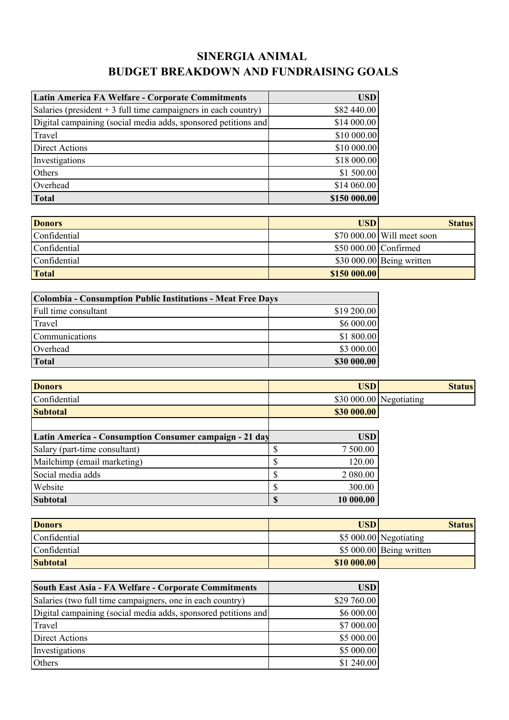## **SINERGIA ANIMAL BUDGET BREAKDOWN AND FUNDRAISING GOALS**

| Latin America FA Welfare - Corporate Commitments                | <b>USD</b>   |
|-----------------------------------------------------------------|--------------|
| Salaries (president $+3$ full time campaigners in each country) | \$82 440.00  |
| Digital campaining (social media adds, sponsored petitions and  | \$14 000.00  |
| Travel                                                          | \$10 000.00  |
| <b>Direct Actions</b>                                           | \$10 000.00  |
| Investigations                                                  | \$18 000.00  |
| Others                                                          | \$1 500.00   |
| Overhead                                                        | \$14 060.00  |
| Total                                                           | \$150 000.00 |

| <b>Donors</b> | USD)                  | <b>Status</b>               |
|---------------|-----------------------|-----------------------------|
| Confidential  |                       | $$70,000,00$ Will meet soon |
| Confidential  | \$50 000.00 Confirmed |                             |
| Confidential  |                       | $$30\,000.00$ Being written |
| <b>Total</b>  | \$150 000.00          |                             |

| Colombia - Consumption Public Institutions - Meat Free Days |             |
|-------------------------------------------------------------|-------------|
| Full time consultant                                        | \$19 200.00 |
| Travel                                                      | \$6 000.00  |
| Communications                                              | \$1 800.00  |
| Overhead                                                    | \$3 000.00  |
| <b>Total</b>                                                | \$30 000.00 |

| <b>Donors</b>                                          | <b>USD</b>  | <b>Status</b>           |
|--------------------------------------------------------|-------------|-------------------------|
| Confidential                                           |             | \$30 000.00 Negotiating |
| <b>Subtotal</b>                                        | \$30 000.00 |                         |
|                                                        |             |                         |
| Latin America - Consumption Consumer campaign - 21 day | <b>USD</b>  |                         |
| Salary (part-time consultant)                          | 7 500.00    |                         |
| Mailchimp (email marketing)                            | 120.00      |                         |
| Social media adds                                      | 2 080.00    |                         |
| Website                                                | 300.00      |                         |
| <b>Subtotal</b>                                        | 10 000.00   |                         |

| <b>Donors</b>   | <b>USD</b>  | <b>Status</b>            |
|-----------------|-------------|--------------------------|
| Confidential    |             | $$5\,000.00$ Negotiating |
| Confidential    |             | \$5 000.00 Being written |
| <b>Subtotal</b> | \$10 000.00 |                          |

| South East Asia - FA Welfare - Corporate Commitments           | <b>USD</b>  |
|----------------------------------------------------------------|-------------|
| Salaries (two full time campaigners, one in each country)      | \$29 760.00 |
| Digital campaining (social media adds, sponsored petitions and | \$6 000.00  |
| Travel                                                         | \$7 000.00  |
| <b>Direct Actions</b>                                          | \$5 000.00  |
| Investigations                                                 | \$5 000.00  |
| Others                                                         | \$1 240.00  |